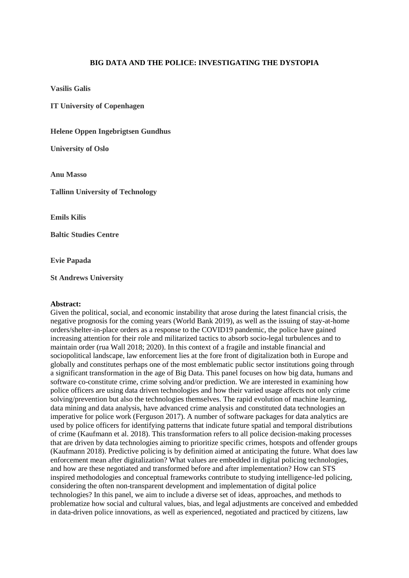## **BIG DATA AND THE POLICE: INVESTIGATING THE DYSTOPIA**

**Vasilis Galis**

**IT University of Copenhagen**

**Helene Oppen Ingebrigtsen Gundhus**

**University of Oslo**

**Anu Masso**

**Tallinn University of Technology**

**Emils Kilis**

**Baltic Studies Centre**

**Evie Papada**

**St Andrews University**

## **Abstract:**

Given the political, social, and economic instability that arose during the latest financial crisis, the negative prognosis for the coming years (World Bank 2019), as well as the issuing of stay-at-home orders/shelter-in-place orders as a response to the COVID19 pandemic, the police have gained increasing attention for their role and militarized tactics to absorb socio-legal turbulences and to maintain order (rua Wall 2018; 2020). In this context of a fragile and instable financial and sociopolitical landscape, law enforcement lies at the fore front of digitalization both in Europe and globally and constitutes perhaps one of the most emblematic public sector institutions going through a significant transformation in the age of Big Data. This panel focuses on how big data, humans and software co-constitute crime, crime solving and/or prediction. We are interested in examining how police officers are using data driven technologies and how their varied usage affects not only crime solving/prevention but also the technologies themselves. The rapid evolution of machine learning, data mining and data analysis, have advanced crime analysis and constituted data technologies an imperative for police work (Ferguson 2017). A number of software packages for data analytics are used by police officers for identifying patterns that indicate future spatial and temporal distributions of crime (Kaufmann et al. 2018). This transformation refers to all police decision-making processes that are driven by data technologies aiming to prioritize specific crimes, hotspots and offender groups (Kaufmann 2018). Predictive policing is by definition aimed at anticipating the future. What does law enforcement mean after digitalization? What values are embedded in digital policing technologies, and how are these negotiated and transformed before and after implementation? How can STS inspired methodologies and conceptual frameworks contribute to studying intelligence-led policing, considering the often non-transparent development and implementation of digital police technologies? In this panel, we aim to include a diverse set of ideas, approaches, and methods to problematize how social and cultural values, bias, and legal adjustments are conceived and embedded in data-driven police innovations, as well as experienced, negotiated and practiced by citizens, law